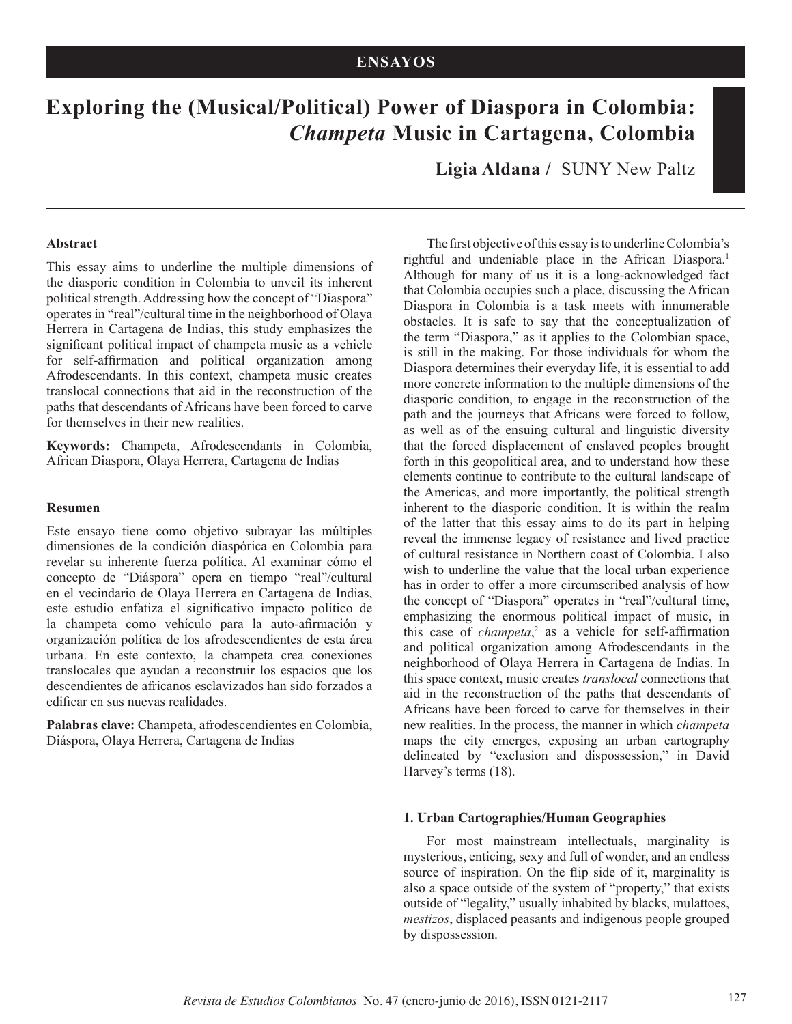# **Exploring the (Musical/Political) Power of Diaspora in Colombia:** *Champeta* **Music in Cartagena, Colombia**

**Ligia Aldana /** SUNY New Paltz

#### **Abstract**

This essay aims to underline the multiple dimensions of the diasporic condition in Colombia to unveil its inherent political strength. Addressing how the concept of "Diaspora" operates in "real"/cultural time in the neighborhood of Olaya Herrera in Cartagena de Indias, this study emphasizes the significant political impact of champeta music as a vehicle for self-affirmation and political organization among Afrodescendants. In this context, champeta music creates translocal connections that aid in the reconstruction of the paths that descendants of Africans have been forced to carve for themselves in their new realities.

**Keywords:** Champeta, Afrodescendants in Colombia, African Diaspora, Olaya Herrera, Cartagena de Indias

#### **Resumen**

Este ensayo tiene como objetivo subrayar las múltiples dimensiones de la condición diaspórica en Colombia para revelar su inherente fuerza política. Al examinar cómo el concepto de "Diáspora" opera en tiempo "real"/cultural en el vecindario de Olaya Herrera en Cartagena de Indias, este estudio enfatiza el significativo impacto político de la champeta como vehículo para la auto-afirmación y organización política de los afrodescendientes de esta área urbana. En este contexto, la champeta crea conexiones translocales que ayudan a reconstruir los espacios que los descendientes de africanos esclavizados han sido forzados a edificar en sus nuevas realidades.

**Palabras clave:** Champeta, afrodescendientes en Colombia, Diáspora, Olaya Herrera, Cartagena de Indias

The first objective of this essay is to underline Colombia's rightful and undeniable place in the African Diaspora.<sup>1</sup> Although for many of us it is a long-acknowledged fact that Colombia occupies such a place, discussing the African Diaspora in Colombia is a task meets with innumerable obstacles. It is safe to say that the conceptualization of the term "Diaspora," as it applies to the Colombian space, is still in the making. For those individuals for whom the Diaspora determines their everyday life, it is essential to add more concrete information to the multiple dimensions of the diasporic condition, to engage in the reconstruction of the path and the journeys that Africans were forced to follow, as well as of the ensuing cultural and linguistic diversity that the forced displacement of enslaved peoples brought forth in this geopolitical area, and to understand how these elements continue to contribute to the cultural landscape of the Americas, and more importantly, the political strength inherent to the diasporic condition. It is within the realm of the latter that this essay aims to do its part in helping reveal the immense legacy of resistance and lived practice of cultural resistance in Northern coast of Colombia. I also wish to underline the value that the local urban experience has in order to offer a more circumscribed analysis of how the concept of "Diaspora" operates in "real"/cultural time, emphasizing the enormous political impact of music, in this case of *champeta*, 2 as a vehicle for self-affirmation and political organization among Afrodescendants in the neighborhood of Olaya Herrera in Cartagena de Indias. In this space context, music creates *translocal* connections that aid in the reconstruction of the paths that descendants of Africans have been forced to carve for themselves in their new realities. In the process, the manner in which *champeta* maps the city emerges, exposing an urban cartography delineated by "exclusion and dispossession," in David Harvey's terms (18).

#### **1. Urban Cartographies/Human Geographies**

For most mainstream intellectuals, marginality is mysterious, enticing, sexy and full of wonder, and an endless source of inspiration. On the flip side of it, marginality is also a space outside of the system of "property," that exists outside of "legality," usually inhabited by blacks, mulattoes, *mestizos*, displaced peasants and indigenous people grouped by dispossession.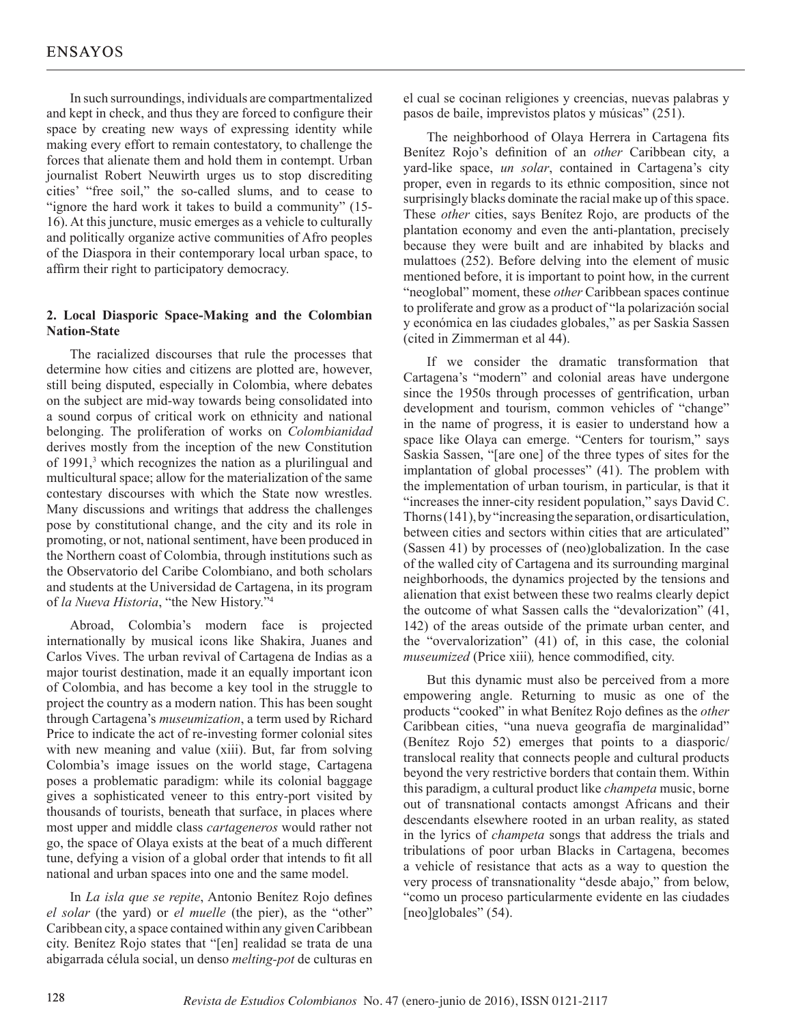In such surroundings, individuals are compartmentalized and kept in check, and thus they are forced to configure their space by creating new ways of expressing identity while making every effort to remain contestatory, to challenge the forces that alienate them and hold them in contempt. Urban journalist Robert Neuwirth urges us to stop discrediting cities' "free soil," the so-called slums, and to cease to "ignore the hard work it takes to build a community" (15- 16). At this juncture, music emerges as a vehicle to culturally and politically organize active communities of Afro peoples of the Diaspora in their contemporary local urban space, to affirm their right to participatory democracy.

## **2. Local Diasporic Space-Making and the Colombian Nation-State**

The racialized discourses that rule the processes that determine how cities and citizens are plotted are, however, still being disputed, especially in Colombia, where debates on the subject are mid-way towards being consolidated into a sound corpus of critical work on ethnicity and national belonging. The proliferation of works on *Colombianidad*  derives mostly from the inception of the new Constitution of 1991,<sup>3</sup> which recognizes the nation as a plurilingual and multicultural space; allow for the materialization of the same contestary discourses with which the State now wrestles. Many discussions and writings that address the challenges pose by constitutional change, and the city and its role in promoting, or not, national sentiment, have been produced in the Northern coast of Colombia, through institutions such as the Observatorio del Caribe Colombiano, and both scholars and students at the Universidad de Cartagena, in its program of *la Nueva Historia*, "the New History."4

Abroad, Colombia's modern face is projected internationally by musical icons like Shakira, Juanes and Carlos Vives. The urban revival of Cartagena de Indias as a major tourist destination, made it an equally important icon of Colombia, and has become a key tool in the struggle to project the country as a modern nation. This has been sought through Cartagena's *museumization*, a term used by Richard Price to indicate the act of re-investing former colonial sites with new meaning and value (xiii). But, far from solving Colombia's image issues on the world stage, Cartagena poses a problematic paradigm: while its colonial baggage gives a sophisticated veneer to this entry-port visited by thousands of tourists, beneath that surface, in places where most upper and middle class *cartageneros* would rather not go, the space of Olaya exists at the beat of a much different tune, defying a vision of a global order that intends to fit all national and urban spaces into one and the same model.

In *La isla que se repite*, Antonio Benítez Rojo defines *el solar* (the yard) or *el muelle* (the pier), as the "other" Caribbean city, a space contained within any given Caribbean city. Benítez Rojo states that "[en] realidad se trata de una abigarrada célula social, un denso *melting-pot* de culturas en el cual se cocinan religiones y creencias, nuevas palabras y pasos de baile, imprevistos platos y músicas" (251).

The neighborhood of Olaya Herrera in Cartagena fits Benítez Rojo's definition of an *other* Caribbean city, a yard-like space, *un solar*, contained in Cartagena's city proper, even in regards to its ethnic composition, since not surprisingly blacks dominate the racial make up of this space. These *other* cities, says Benítez Rojo, are products of the plantation economy and even the anti-plantation, precisely because they were built and are inhabited by blacks and mulattoes (252). Before delving into the element of music mentioned before, it is important to point how, in the current "neoglobal" moment, these *other* Caribbean spaces continue to proliferate and grow as a product of "la polarización social y económica en las ciudades globales," as per Saskia Sassen (cited in Zimmerman et al 44).

If we consider the dramatic transformation that Cartagena's "modern" and colonial areas have undergone since the 1950s through processes of gentrification, urban development and tourism, common vehicles of "change" in the name of progress, it is easier to understand how a space like Olaya can emerge. "Centers for tourism," says Saskia Sassen, "[are one] of the three types of sites for the implantation of global processes" (41). The problem with the implementation of urban tourism, in particular, is that it "increases the inner-city resident population," says David C. Thorns (141), by "increasing the separation, or disarticulation, between cities and sectors within cities that are articulated" (Sassen 41) by processes of (neo)globalization. In the case of the walled city of Cartagena and its surrounding marginal neighborhoods, the dynamics projected by the tensions and alienation that exist between these two realms clearly depict the outcome of what Sassen calls the "devalorization" (41, 142) of the areas outside of the primate urban center, and the "overvalorization" (41) of, in this case, the colonial *museumized* (Price xiii)*,* hence commodified, city.

But this dynamic must also be perceived from a more empowering angle. Returning to music as one of the products "cooked" in what Benítez Rojo defines as the *other*  Caribbean cities, "una nueva geografía de marginalidad" (Benítez Rojo 52) emerges that points to a diasporic/ translocal reality that connects people and cultural products beyond the very restrictive borders that contain them. Within this paradigm, a cultural product like *champeta* music, borne out of transnational contacts amongst Africans and their descendants elsewhere rooted in an urban reality, as stated in the lyrics of *champeta* songs that address the trials and tribulations of poor urban Blacks in Cartagena, becomes a vehicle of resistance that acts as a way to question the very process of transnationality "desde abajo," from below, "como un proceso particularmente evidente en las ciudades [neo]globales" (54).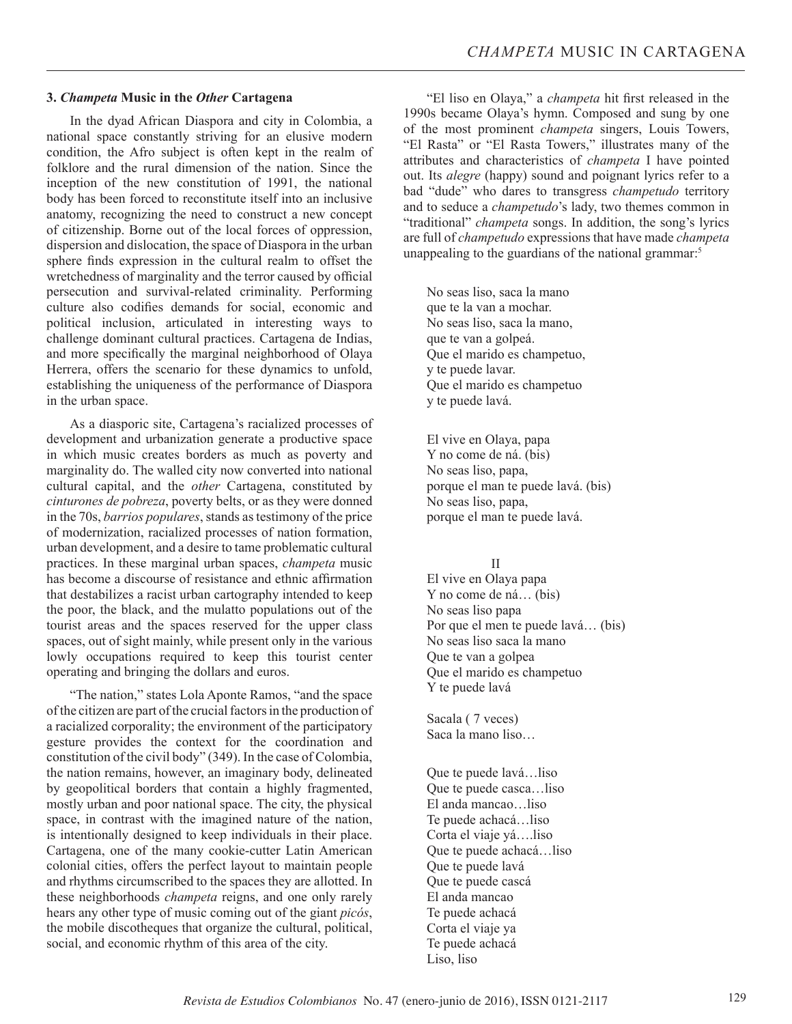#### **3.** *Champeta* **Music in the** *Other* **Cartagena**

In the dyad African Diaspora and city in Colombia, a national space constantly striving for an elusive modern condition, the Afro subject is often kept in the realm of folklore and the rural dimension of the nation. Since the inception of the new constitution of 1991, the national body has been forced to reconstitute itself into an inclusive anatomy, recognizing the need to construct a new concept of citizenship. Borne out of the local forces of oppression, dispersion and dislocation, the space of Diaspora in the urban sphere finds expression in the cultural realm to offset the wretchedness of marginality and the terror caused by official persecution and survival-related criminality. Performing culture also codifies demands for social, economic and political inclusion, articulated in interesting ways to challenge dominant cultural practices. Cartagena de Indias, and more specifically the marginal neighborhood of Olaya Herrera, offers the scenario for these dynamics to unfold, establishing the uniqueness of the performance of Diaspora in the urban space.

As a diasporic site, Cartagena's racialized processes of development and urbanization generate a productive space in which music creates borders as much as poverty and marginality do. The walled city now converted into national cultural capital, and the *other* Cartagena, constituted by *cinturones de pobreza*, poverty belts, or as they were donned in the 70s, *barrios populares*, stands as testimony of the price of modernization, racialized processes of nation formation, urban development, and a desire to tame problematic cultural practices. In these marginal urban spaces, *champeta* music has become a discourse of resistance and ethnic affirmation that destabilizes a racist urban cartography intended to keep the poor, the black, and the mulatto populations out of the tourist areas and the spaces reserved for the upper class spaces, out of sight mainly, while present only in the various lowly occupations required to keep this tourist center operating and bringing the dollars and euros.

"The nation," states Lola Aponte Ramos, "and the space of the citizen are part of the crucial factors in the production of a racialized corporality; the environment of the participatory gesture provides the context for the coordination and constitution of the civil body" (349). In the case of Colombia, the nation remains, however, an imaginary body, delineated by geopolitical borders that contain a highly fragmented, mostly urban and poor national space. The city, the physical space, in contrast with the imagined nature of the nation, is intentionally designed to keep individuals in their place. Cartagena, one of the many cookie-cutter Latin American colonial cities, offers the perfect layout to maintain people and rhythms circumscribed to the spaces they are allotted. In these neighborhoods *champeta* reigns, and one only rarely hears any other type of music coming out of the giant *picós*, the mobile discotheques that organize the cultural, political, social, and economic rhythm of this area of the city.

"El liso en Olaya," a *champeta* hit first released in the 1990s became Olaya's hymn. Composed and sung by one of the most prominent *champeta* singers, Louis Towers, "El Rasta" or "El Rasta Towers," illustrates many of the attributes and characteristics of *champeta* I have pointed out. Its *alegre* (happy) sound and poignant lyrics refer to a bad "dude" who dares to transgress *champetudo* territory and to seduce a *champetudo*'s lady, two themes common in "traditional" *champeta* songs. In addition, the song's lyrics are full of *champetudo* expressions that have made *champeta*  unappealing to the guardians of the national grammar:<sup>5</sup>

No seas liso, saca la mano que te la van a mochar. No seas liso, saca la mano, que te van a golpeá. Que el marido es champetuo, y te puede lavar. Que el marido es champetuo y te puede lavá.

El vive en Olaya, papa Y no come de ná. (bis) No seas liso, papa, porque el man te puede lavá. (bis) No seas liso, papa, porque el man te puede lavá.

II

El vive en Olaya papa Y no come de ná… (bis) No seas liso papa Por que el men te puede lavá… (bis) No seas liso saca la mano Que te van a golpea Que el marido es champetuo Y te puede lavá

Sacala ( 7 veces) Saca la mano liso…

Que te puede lavá…liso Que te puede casca…liso El anda mancao…liso Te puede achacá…liso Corta el viaje yá….liso Que te puede achacá…liso Que te puede lavá Que te puede cascá El anda mancao Te puede achacá Corta el viaje ya Te puede achacá Liso, liso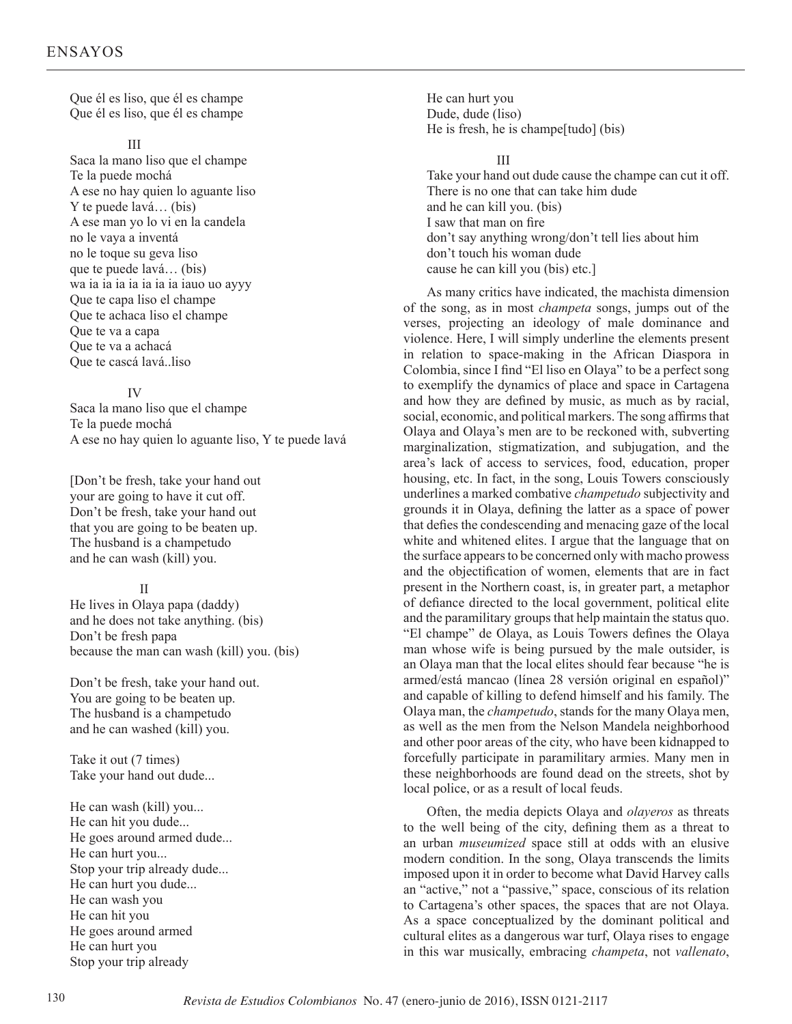Que él es liso, que él es champe Que él es liso, que él es champe

#### III

Saca la mano liso que el champe Te la puede mochá A ese no hay quien lo aguante liso Y te puede lavá… (bis) A ese man yo lo vi en la candela no le vaya a inventá no le toque su geva liso que te puede lavá… (bis) wa ia ia ia ia ia ia ia iauo uo ayyy Que te capa liso el champe Que te achaca liso el champe Que te va a capa Que te va a achacá Que te cascá lavá..liso

#### IV

Saca la mano liso que el champe Te la puede mochá A ese no hay quien lo aguante liso, Y te puede lavá

[Don't be fresh, take your hand out your are going to have it cut off. Don't be fresh, take your hand out that you are going to be beaten up. The husband is a champetudo and he can wash (kill) you.

## II

He lives in Olaya papa (daddy) and he does not take anything. (bis) Don't be fresh papa because the man can wash (kill) you. (bis)

Don't be fresh, take your hand out. You are going to be beaten up. The husband is a champetudo and he can washed (kill) you.

Take it out (7 times) Take your hand out dude...

He can wash (kill) you... He can hit you dude... He goes around armed dude... He can hurt you... Stop your trip already dude... He can hurt you dude... He can wash you He can hit you He goes around armed He can hurt you Stop your trip already

He can hurt you Dude, dude (liso) He is fresh, he is champe[tudo] (bis)

III

Take your hand out dude cause the champe can cut it off. There is no one that can take him dude and he can kill you. (bis) I saw that man on fire don't say anything wrong/don't tell lies about him don't touch his woman dude cause he can kill you (bis) etc.]

As many critics have indicated, the machista dimension of the song, as in most *champeta* songs, jumps out of the verses, projecting an ideology of male dominance and violence. Here, I will simply underline the elements present in relation to space-making in the African Diaspora in Colombia, since I find "El liso en Olaya" to be a perfect song to exemplify the dynamics of place and space in Cartagena and how they are defined by music, as much as by racial, social, economic, and political markers. The song affirms that Olaya and Olaya's men are to be reckoned with, subverting marginalization, stigmatization, and subjugation, and the area's lack of access to services, food, education, proper housing, etc. In fact, in the song, Louis Towers consciously underlines a marked combative *champetudo* subjectivity and grounds it in Olaya, defining the latter as a space of power that defies the condescending and menacing gaze of the local white and whitened elites. I argue that the language that on the surface appears to be concerned only with macho prowess and the objectification of women, elements that are in fact present in the Northern coast, is, in greater part, a metaphor of defiance directed to the local government, political elite and the paramilitary groups that help maintain the status quo. "El champe" de Olaya, as Louis Towers defines the Olaya man whose wife is being pursued by the male outsider, is an Olaya man that the local elites should fear because "he is armed/está mancao (línea 28 versión original en español)" and capable of killing to defend himself and his family. The Olaya man, the *champetudo*, stands for the many Olaya men, as well as the men from the Nelson Mandela neighborhood and other poor areas of the city, who have been kidnapped to forcefully participate in paramilitary armies. Many men in these neighborhoods are found dead on the streets, shot by local police, or as a result of local feuds.

Often, the media depicts Olaya and *olayeros* as threats to the well being of the city, defining them as a threat to an urban *museumized* space still at odds with an elusive modern condition. In the song, Olaya transcends the limits imposed upon it in order to become what David Harvey calls an "active," not a "passive," space, conscious of its relation to Cartagena's other spaces, the spaces that are not Olaya. As a space conceptualized by the dominant political and cultural elites as a dangerous war turf, Olaya rises to engage in this war musically, embracing *champeta*, not *vallenato*,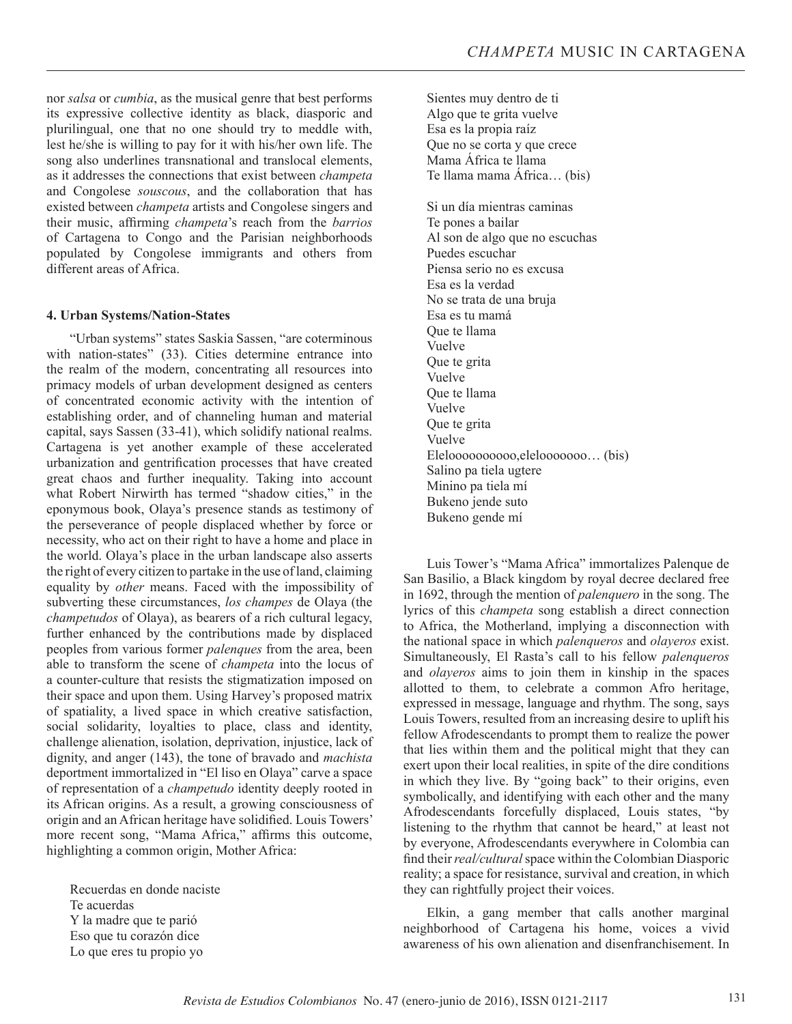nor *salsa* or *cumbia*, as the musical genre that best performs its expressive collective identity as black, diasporic and plurilingual, one that no one should try to meddle with, lest he/she is willing to pay for it with his/her own life. The song also underlines transnational and translocal elements, as it addresses the connections that exist between *champeta*  and Congolese *souscous*, and the collaboration that has existed between *champeta* artists and Congolese singers and their music, affirming *champeta*'s reach from the *barrios*  of Cartagena to Congo and the Parisian neighborhoods populated by Congolese immigrants and others from different areas of Africa.

### **4. Urban Systems/Nation-States**

"Urban systems" states Saskia Sassen, "are coterminous with nation-states" (33). Cities determine entrance into the realm of the modern, concentrating all resources into primacy models of urban development designed as centers of concentrated economic activity with the intention of establishing order, and of channeling human and material capital, says Sassen (33-41), which solidify national realms. Cartagena is yet another example of these accelerated urbanization and gentrification processes that have created great chaos and further inequality. Taking into account what Robert Nirwirth has termed "shadow cities," in the eponymous book, Olaya's presence stands as testimony of the perseverance of people displaced whether by force or necessity, who act on their right to have a home and place in the world. Olaya's place in the urban landscape also asserts the right of every citizen to partake in the use of land, claiming equality by *other* means. Faced with the impossibility of subverting these circumstances, *los champes* de Olaya (the *champetudos* of Olaya), as bearers of a rich cultural legacy, further enhanced by the contributions made by displaced peoples from various former *palenques* from the area, been able to transform the scene of *champeta* into the locus of a counter-culture that resists the stigmatization imposed on their space and upon them. Using Harvey's proposed matrix of spatiality, a lived space in which creative satisfaction, social solidarity, loyalties to place, class and identity, challenge alienation, isolation, deprivation, injustice, lack of dignity, and anger (143), the tone of bravado and *machista* deportment immortalized in "El liso en Olaya" carve a space of representation of a *champetudo* identity deeply rooted in its African origins. As a result, a growing consciousness of origin and an African heritage have solidified. Louis Towers' more recent song, "Mama Africa," affirms this outcome, highlighting a common origin, Mother Africa:

Recuerdas en donde naciste Te acuerdas Y la madre que te parió Eso que tu corazón dice Lo que eres tu propio yo

Sientes muy dentro de ti Algo que te grita vuelve Esa es la propia raíz Que no se corta y que crece Mama África te llama Te llama mama África… (bis)

Si un día mientras caminas Te pones a bailar Al son de algo que no escuchas Puedes escuchar Piensa serio no es excusa Esa es la verdad No se trata de una bruja Esa es tu mamá Que te llama Vuelve Que te grita Vuelve Que te llama Vuelve Que te grita Vuelve Eleloooooooooo,elelooooooo… (bis) Salino pa tiela ugtere Minino pa tiela mí Bukeno jende suto Bukeno gende mí

Luis Tower's "Mama Africa" immortalizes Palenque de San Basilio, a Black kingdom by royal decree declared free in 1692, through the mention of *palenquero* in the song. The lyrics of this *champeta* song establish a direct connection to Africa, the Motherland, implying a disconnection with the national space in which *palenqueros* and *olayeros* exist. Simultaneously, El Rasta's call to his fellow *palenqueros* and *olayeros* aims to join them in kinship in the spaces allotted to them, to celebrate a common Afro heritage, expressed in message, language and rhythm. The song, says Louis Towers, resulted from an increasing desire to uplift his fellow Afrodescendants to prompt them to realize the power that lies within them and the political might that they can exert upon their local realities, in spite of the dire conditions in which they live. By "going back" to their origins, even symbolically, and identifying with each other and the many Afrodescendants forcefully displaced, Louis states, "by listening to the rhythm that cannot be heard," at least not by everyone, Afrodescendants everywhere in Colombia can find their *real/cultural* space within the Colombian Diasporic reality; a space for resistance, survival and creation, in which they can rightfully project their voices.

Elkin, a gang member that calls another marginal neighborhood of Cartagena his home, voices a vivid awareness of his own alienation and disenfranchisement. In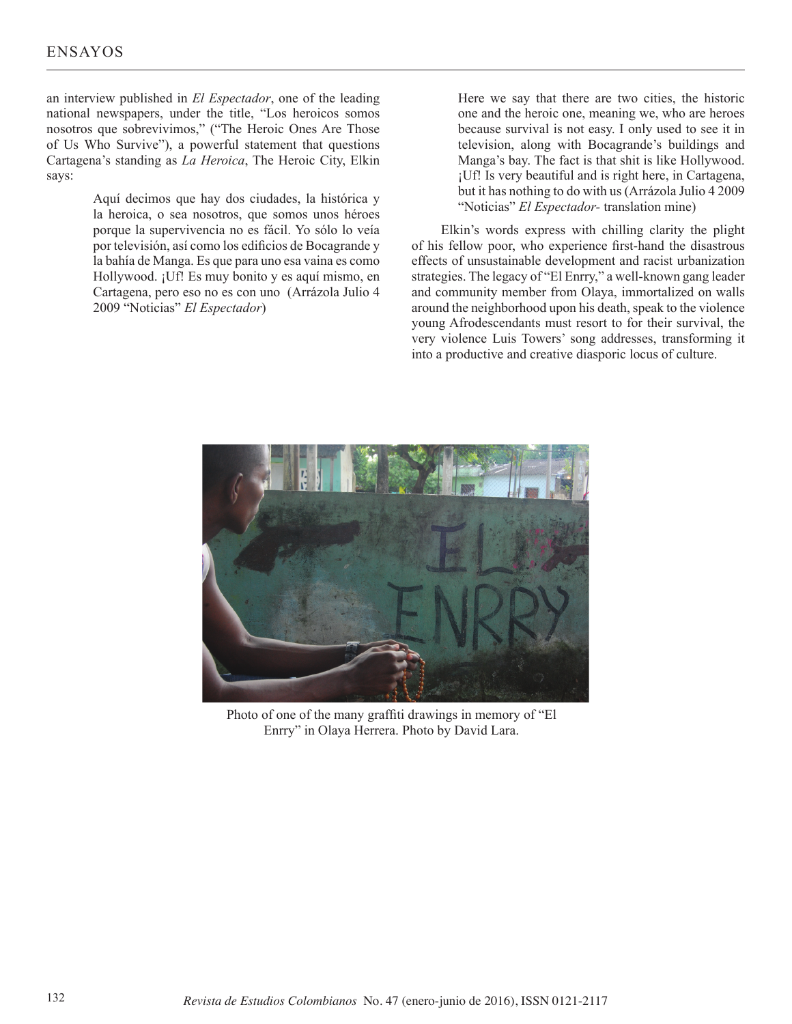an interview published in *El Espectador*, one of the leading national newspapers, under the title, "Los heroicos somos nosotros que sobrevivimos," ("The Heroic Ones Are Those of Us Who Survive"), a powerful statement that questions Cartagena's standing as *La Heroica*, The Heroic City, Elkin says:

> Aquí decimos que hay dos ciudades, la histórica y la heroica, o sea nosotros, que somos unos héroes porque la supervivencia no es fácil. Yo sólo lo veía por televisión, así como los edificios de Bocagrande y la bahía de Manga. Es que para uno esa vaina es como Hollywood. ¡Uf! Es muy bonito y es aquí mismo, en Cartagena, pero eso no es con uno (Arrázola Julio 4 2009 "Noticias" *El Espectador*)

Here we say that there are two cities, the historic one and the heroic one, meaning we, who are heroes because survival is not easy. I only used to see it in television, along with Bocagrande's buildings and Manga's bay. The fact is that shit is like Hollywood. ¡Uf! Is very beautiful and is right here, in Cartagena, but it has nothing to do with us (Arrázola Julio 4 2009 "Noticias" *El Espectador-* translation mine)

 Elkin's words express with chilling clarity the plight of his fellow poor, who experience first-hand the disastrous effects of unsustainable development and racist urbanization strategies. The legacy of "El Enrry," a well-known gang leader and community member from Olaya, immortalized on walls around the neighborhood upon his death, speak to the violence young Afrodescendants must resort to for their survival, the very violence Luis Towers' song addresses, transforming it into a productive and creative diasporic locus of culture.



Photo of one of the many graffiti drawings in memory of "El Enrry" in Olaya Herrera. Photo by David Lara.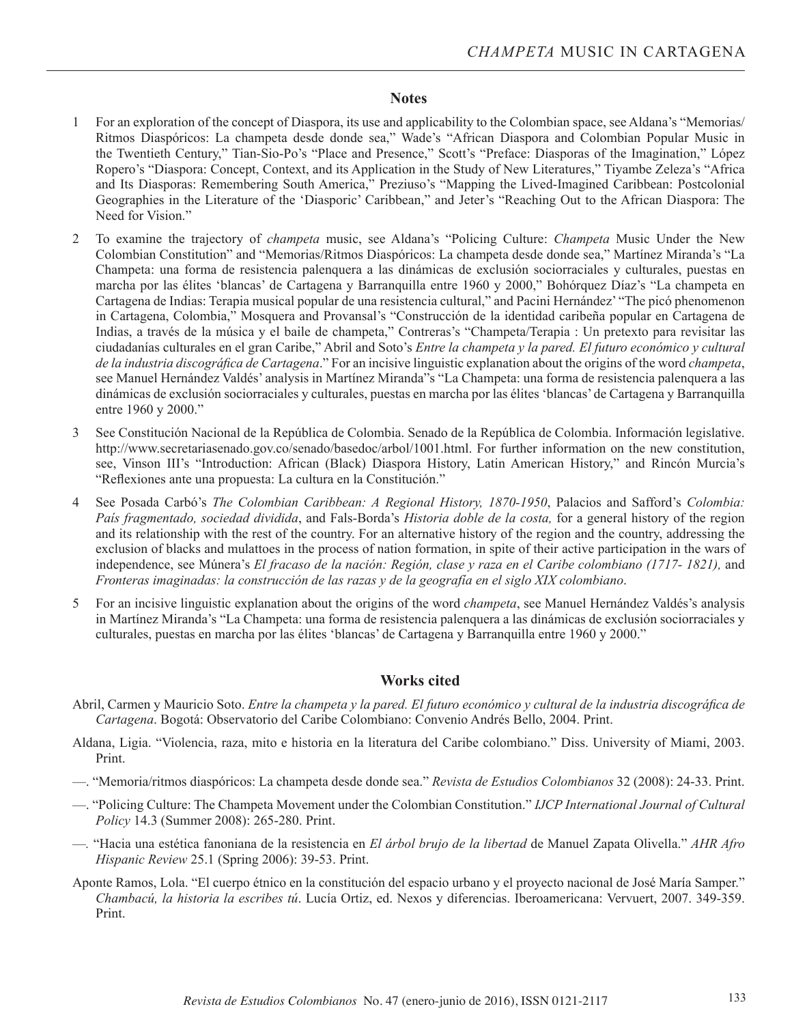## **Notes**

- 1 For an exploration of the concept of Diaspora, its use and applicability to the Colombian space, see Aldana's "Memorias/ Ritmos Diaspóricos: La champeta desde donde sea," Wade's "African Diaspora and Colombian Popular Music in the Twentieth Century," Tian-Sio-Po's "Place and Presence," Scott's "Preface: Diasporas of the Imagination," López Ropero's "Diaspora: Concept, Context, and its Application in the Study of New Literatures," Tiyambe Zeleza's "Africa and Its Diasporas: Remembering South America," Preziuso's "Mapping the Lived-Imagined Caribbean: Postcolonial Geographies in the Literature of the 'Diasporic' Caribbean," and Jeter's "Reaching Out to the African Diaspora: The Need for Vision."
- 2 To examine the trajectory of *champeta* music, see Aldana's "Policing Culture: *Champeta* Music Under the New Colombian Constitution" and "Memorias/Ritmos Diaspóricos: La champeta desde donde sea," Martínez Miranda's "La Champeta: una forma de resistencia palenquera a las dinámicas de exclusión sociorraciales y culturales, puestas en marcha por las élites 'blancas' de Cartagena y Barranquilla entre 1960 y 2000," Bohórquez Díaz's "La champeta en Cartagena de Indias: Terapia musical popular de una resistencia cultural," and Pacini Hernández' "The picó phenomenon in Cartagena, Colombia," Mosquera and Provansal's "Construcción de la identidad caribeña popular en Cartagena de Indias, a través de la música y el baile de champeta," Contreras's "Champeta/Terapia : Un pretexto para revisitar las ciudadanías culturales en el gran Caribe," Abril and Soto's *Entre la champeta y la pared. El futuro económico y cultural de la industria discográfica de Cartagena*." For an incisive linguistic explanation about the origins of the word *champeta*, see Manuel Hernández Valdés' analysis in Martínez Miranda"s "La Champeta: una forma de resistencia palenquera a las dinámicas de exclusión sociorraciales y culturales, puestas en marcha por las élites 'blancas' de Cartagena y Barranquilla entre 1960 y 2000."
- 3 See Constitución Nacional de la República de Colombia. Senado de la República de Colombia. Información legislative. http://www.secretariasenado.gov.co/senado/basedoc/arbol/1001.html. For further information on the new constitution, see, Vinson III's "Introduction: African (Black) Diaspora History, Latin American History," and Rincón Murcia's "Reflexiones ante una propuesta: La cultura en la Constitución."
- 4 See Posada Carbó's *The Colombian Caribbean: A Regional History, 1870-1950*, Palacios and Safford's *Colombia: País fragmentado, sociedad dividida*, and Fals-Borda's *Historia doble de la costa,* for a general history of the region and its relationship with the rest of the country. For an alternative history of the region and the country, addressing the exclusion of blacks and mulattoes in the process of nation formation, in spite of their active participation in the wars of independence, see Múnera's *El fracaso de la nación: Región, clase y raza en el Caribe colombiano (1717- 1821)*, and *Fronteras imaginadas: la construcción de las razas y de la geografía en el siglo XIX colombiano*.
- 5 For an incisive linguistic explanation about the origins of the word *champeta*, see Manuel Hernández Valdés's analysis in Martínez Miranda's "La Champeta: una forma de resistencia palenquera a las dinámicas de exclusión sociorraciales y culturales, puestas en marcha por las élites 'blancas' de Cartagena y Barranquilla entre 1960 y 2000."

## **Works cited**

- Abril, Carmen y Mauricio Soto. *Entre la champeta y la pared. El futuro económico y cultural de la industria discográfica de Cartagena*. Bogotá: Observatorio del Caribe Colombiano: Convenio Andrés Bello, 2004. Print.
- Aldana, Ligia. "Violencia, raza, mito e historia en la literatura del Caribe colombiano." Diss. University of Miami, 2003. Print.
- —. "Memoria/ritmos diaspóricos: La champeta desde donde sea." *Revista de Estudios Colombianos* 32 (2008): 24-33. Print.
- —. "Policing Culture: The Champeta Movement under the Colombian Constitution." *IJCP International Journal of Cultural Policy* 14.3 (Summer 2008): 265-280. Print.
- —*.* "Hacia una estética fanoniana de la resistencia en *El árbol brujo de la libertad* de Manuel Zapata Olivella." *AHR Afro Hispanic Review* 25.1 (Spring 2006): 39-53. Print.
- Aponte Ramos, Lola. "El cuerpo étnico en la constitución del espacio urbano y el proyecto nacional de José María Samper." *Chambacú, la historia la escribes tú*. Lucía Ortiz, ed. Nexos y diferencias. Iberoamericana: Vervuert, 2007. 349-359. Print.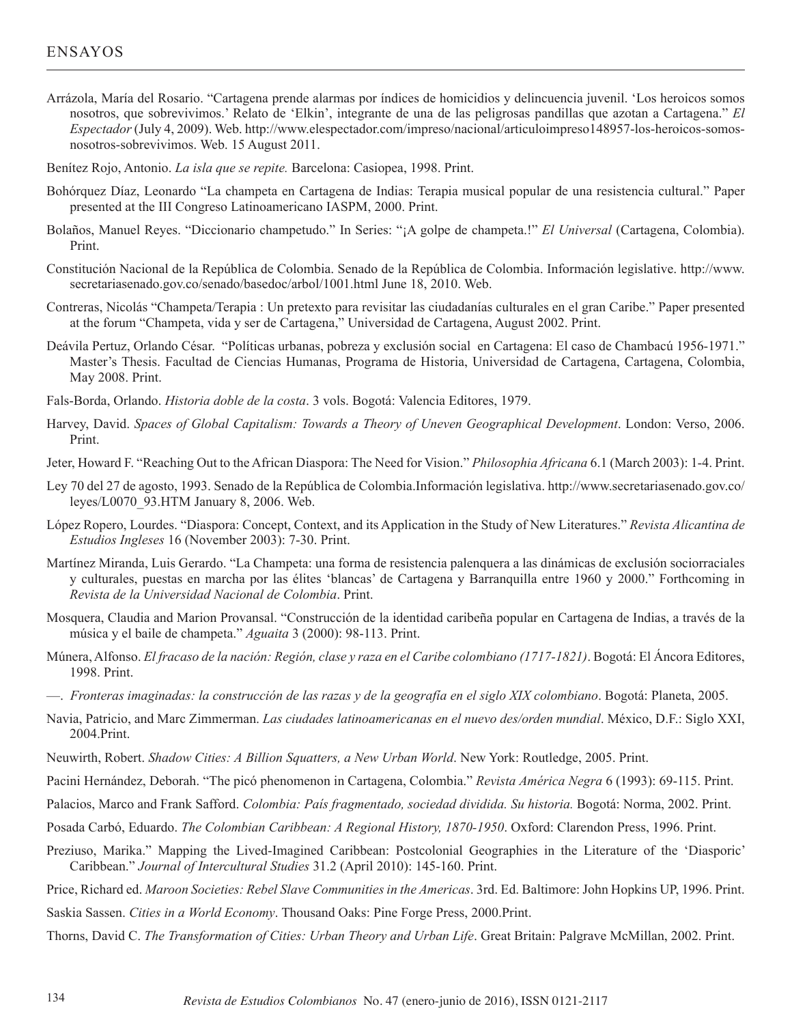# ENSAYOS

- Arrázola, María del Rosario. "Cartagena prende alarmas por índices de homicidios y delincuencia juvenil. 'Los heroicos somos nosotros, que sobrevivimos.' Relato de 'Elkin', integrante de una de las peligrosas pandillas que azotan a Cartagena." *El Espectador* (July 4, 2009). Web. http://www.elespectador.com/impreso/nacional/articuloimpreso148957-los-heroicos-somosnosotros-sobrevivimos. Web. 15 August 2011.
- Benítez Rojo, Antonio. *La isla que se repite.* Barcelona: Casiopea, 1998. Print.
- Bohórquez Díaz, Leonardo "La champeta en Cartagena de Indias: Terapia musical popular de una resistencia cultural." Paper presented at the III Congreso Latinoamericano IASPM, 2000. Print.
- Bolaños, Manuel Reyes. "Diccionario champetudo." In Series: "¡A golpe de champeta.!" *El Universal* (Cartagena, Colombia). Print.
- Constitución Nacional de la República de Colombia. Senado de la República de Colombia. Información legislative. http://www. secretariasenado.gov.co/senado/basedoc/arbol/1001.html June 18, 2010. Web.
- Contreras, Nicolás "Champeta/Terapia : Un pretexto para revisitar las ciudadanías culturales en el gran Caribe." Paper presented at the forum "Champeta, vida y ser de Cartagena," Universidad de Cartagena, August 2002. Print.
- Deávila Pertuz, Orlando César. "Políticas urbanas, pobreza y exclusión social en Cartagena: El caso de Chambacú 1956-1971." Master's Thesis. Facultad de Ciencias Humanas, Programa de Historia, Universidad de Cartagena, Cartagena, Colombia, May 2008. Print.
- Fals-Borda, Orlando. *Historia doble de la costa*. 3 vols. Bogotá: Valencia Editores, 1979.
- Harvey, David. *Spaces of Global Capitalism: Towards a Theory of Uneven Geographical Development*. London: Verso, 2006. Print.
- Jeter, Howard F. "Reaching Out to the African Diaspora: The Need for Vision." *Philosophia Africana* 6.1 (March 2003): 1-4. Print.
- Ley 70 del 27 de agosto, 1993. Senado de la República de Colombia.Información legislativa. http://www.secretariasenado.gov.co/ leyes/L0070\_93.HTM January 8, 2006. Web.
- López Ropero, Lourdes. "Diaspora: Concept, Context, and its Application in the Study of New Literatures." *Revista Alicantina de Estudios Ingleses* 16 (November 2003): 7-30. Print.
- Martínez Miranda, Luis Gerardo. "La Champeta: una forma de resistencia palenquera a las dinámicas de exclusión sociorraciales y culturales, puestas en marcha por las élites 'blancas' de Cartagena y Barranquilla entre 1960 y 2000." Forthcoming in *Revista de la Universidad Nacional de Colombia*. Print.
- Mosquera, Claudia and Marion Provansal. "Construcción de la identidad caribeña popular en Cartagena de Indias, a través de la música y el baile de champeta." *Aguaita* 3 (2000): 98-113. Print.
- Múnera, Alfonso. *El fracaso de la nación: Región, clase y raza en el Caribe colombiano (1717-1821)*. Bogotá: El Áncora Editores, 1998. Print.
- —. *Fronteras imaginadas: la construcción de las razas y de la geografía en el siglo XIX colombiano*. Bogotá: Planeta, 2005.
- Navia, Patricio, and Marc Zimmerman. *Las ciudades latinoamericanas en el nuevo des/orden mundial*. México, D.F.: Siglo XXI, 2004.Print.
- Neuwirth, Robert. *Shadow Cities: A Billion Squatters, a New Urban World*. New York: Routledge, 2005. Print.
- Pacini Hernández, Deborah. "The picó phenomenon in Cartagena, Colombia." *Revista América Negra* 6 (1993): 69-115. Print.
- Palacios, Marco and Frank Safford. *Colombia: País fragmentado, sociedad dividida. Su historia.* Bogotá: Norma, 2002. Print.
- Posada Carbó, Eduardo. *The Colombian Caribbean: A Regional History, 1870-1950*. Oxford: Clarendon Press, 1996. Print.
- Preziuso, Marika." Mapping the Lived-Imagined Caribbean: Postcolonial Geographies in the Literature of the 'Diasporic' Caribbean." *Journal of Intercultural Studies* 31.2 (April 2010): 145-160. Print.
- Price, Richard ed. *Maroon Societies: Rebel Slave Communities in the Americas*. 3rd. Ed. Baltimore: John Hopkins UP, 1996. Print.
- Saskia Sassen. *Cities in a World Economy*. Thousand Oaks: Pine Forge Press, 2000.Print.
- Thorns, David C. *The Transformation of Cities: Urban Theory and Urban Life*. Great Britain: Palgrave McMillan, 2002. Print.